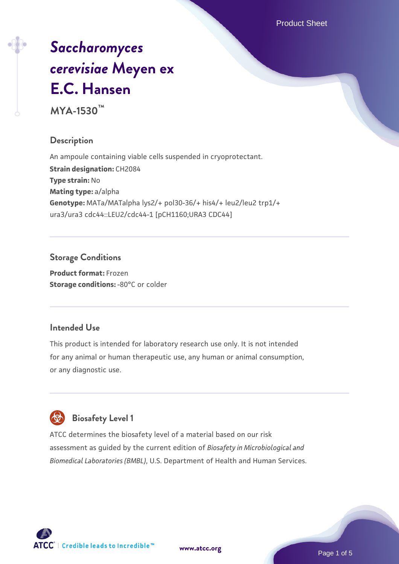Product Sheet

# *[Saccharomyces](https://www.atcc.org/products/mya-1530) [cerevisiae](https://www.atcc.org/products/mya-1530)* **[Meyen ex](https://www.atcc.org/products/mya-1530) [E.C. Hansen](https://www.atcc.org/products/mya-1530)**

**MYA-1530™**

#### **Description**

An ampoule containing viable cells suspended in cryoprotectant. **Strain designation:** CH2084 **Type strain:** No **Mating type:** a/alpha **Genotype:** MATa/MATalpha lys2/+ pol30-36/+ his4/+ leu2/leu2 trp1/+ ura3/ura3 cdc44::LEU2/cdc44-1 [pCH1160;URA3 CDC44]

## **Storage Conditions**

**Product format:** Frozen **Storage conditions: -80°C or colder** 

#### **Intended Use**

This product is intended for laboratory research use only. It is not intended for any animal or human therapeutic use, any human or animal consumption, or any diagnostic use.

# **Biosafety Level 1**

ATCC determines the biosafety level of a material based on our risk assessment as guided by the current edition of *Biosafety in Microbiological and Biomedical Laboratories (BMBL)*, U.S. Department of Health and Human Services.

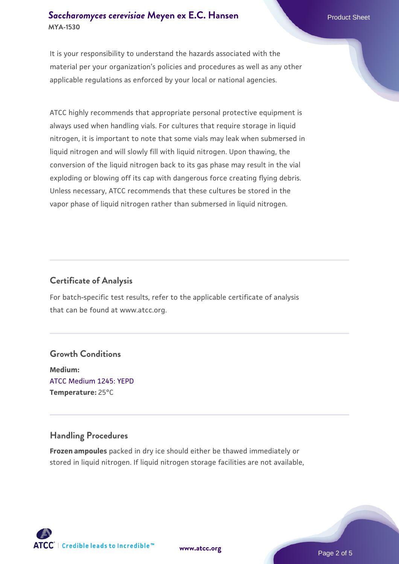#### **[Saccharomyces cerevisiae](https://www.atcc.org/products/mya-1530)** [Meyen ex E.C. Hansen](https://www.atcc.org/products/mya-1530) **MYA-1530**

It is your responsibility to understand the hazards associated with the material per your organization's policies and procedures as well as any other applicable regulations as enforced by your local or national agencies.

ATCC highly recommends that appropriate personal protective equipment is always used when handling vials. For cultures that require storage in liquid nitrogen, it is important to note that some vials may leak when submersed in liquid nitrogen and will slowly fill with liquid nitrogen. Upon thawing, the conversion of the liquid nitrogen back to its gas phase may result in the vial exploding or blowing off its cap with dangerous force creating flying debris. Unless necessary, ATCC recommends that these cultures be stored in the vapor phase of liquid nitrogen rather than submersed in liquid nitrogen.

#### **Certificate of Analysis**

For batch-specific test results, refer to the applicable certificate of analysis that can be found at www.atcc.org.

#### **Growth Conditions**

**Medium:**  [ATCC Medium 1245: YEPD](https://www.atcc.org/-/media/product-assets/documents/microbial-media-formulations/1/2/4/5/atcc-medium-1245.pdf?rev=705ca55d1b6f490a808a965d5c072196) **Temperature:** 25°C

#### **Handling Procedures**

**Frozen ampoules** packed in dry ice should either be thawed immediately or stored in liquid nitrogen. If liquid nitrogen storage facilities are not available,

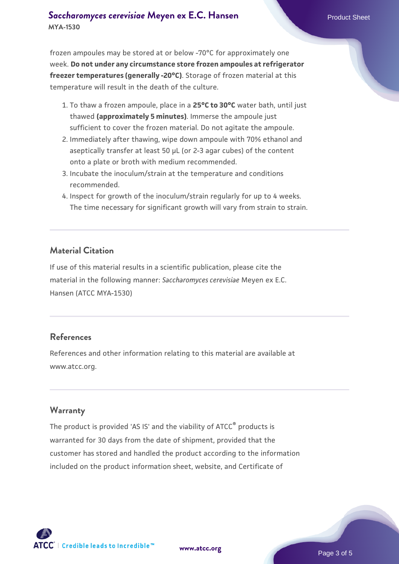#### **[Saccharomyces cerevisiae](https://www.atcc.org/products/mya-1530)** [Meyen ex E.C. Hansen](https://www.atcc.org/products/mya-1530) **MYA-1530**

frozen ampoules may be stored at or below -70°C for approximately one week. **Do not under any circumstance store frozen ampoules at refrigerator freezer temperatures (generally -20°C)**. Storage of frozen material at this temperature will result in the death of the culture.

- 1. To thaw a frozen ampoule, place in a **25°C to 30°C** water bath, until just thawed **(approximately 5 minutes)**. Immerse the ampoule just sufficient to cover the frozen material. Do not agitate the ampoule.
- 2. Immediately after thawing, wipe down ampoule with 70% ethanol and aseptically transfer at least 50 µL (or 2-3 agar cubes) of the content onto a plate or broth with medium recommended.
- 3. Incubate the inoculum/strain at the temperature and conditions recommended.
- 4. Inspect for growth of the inoculum/strain regularly for up to 4 weeks. The time necessary for significant growth will vary from strain to strain.

#### **Material Citation**

If use of this material results in a scientific publication, please cite the material in the following manner: *Saccharomyces cerevisiae* Meyen ex E.C. Hansen (ATCC MYA-1530)

#### **References**

References and other information relating to this material are available at www.atcc.org.

#### **Warranty**

The product is provided 'AS IS' and the viability of ATCC® products is warranted for 30 days from the date of shipment, provided that the customer has stored and handled the product according to the information included on the product information sheet, website, and Certificate of

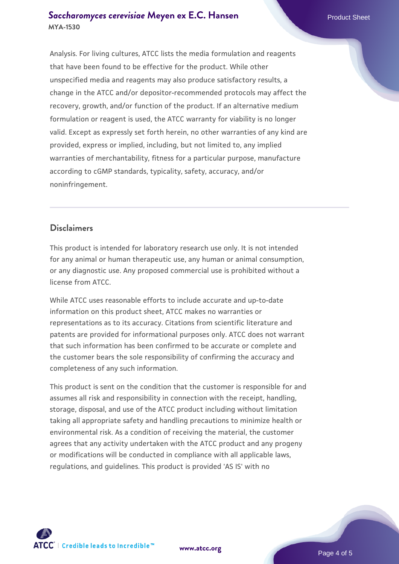#### **[Saccharomyces cerevisiae](https://www.atcc.org/products/mya-1530)** [Meyen ex E.C. Hansen](https://www.atcc.org/products/mya-1530) **MYA-1530**

Analysis. For living cultures, ATCC lists the media formulation and reagents that have been found to be effective for the product. While other unspecified media and reagents may also produce satisfactory results, a change in the ATCC and/or depositor-recommended protocols may affect the recovery, growth, and/or function of the product. If an alternative medium formulation or reagent is used, the ATCC warranty for viability is no longer valid. Except as expressly set forth herein, no other warranties of any kind are provided, express or implied, including, but not limited to, any implied warranties of merchantability, fitness for a particular purpose, manufacture according to cGMP standards, typicality, safety, accuracy, and/or noninfringement.

#### **Disclaimers**

This product is intended for laboratory research use only. It is not intended for any animal or human therapeutic use, any human or animal consumption, or any diagnostic use. Any proposed commercial use is prohibited without a license from ATCC.

While ATCC uses reasonable efforts to include accurate and up-to-date information on this product sheet, ATCC makes no warranties or representations as to its accuracy. Citations from scientific literature and patents are provided for informational purposes only. ATCC does not warrant that such information has been confirmed to be accurate or complete and the customer bears the sole responsibility of confirming the accuracy and completeness of any such information.

This product is sent on the condition that the customer is responsible for and assumes all risk and responsibility in connection with the receipt, handling, storage, disposal, and use of the ATCC product including without limitation taking all appropriate safety and handling precautions to minimize health or environmental risk. As a condition of receiving the material, the customer agrees that any activity undertaken with the ATCC product and any progeny or modifications will be conducted in compliance with all applicable laws, regulations, and guidelines. This product is provided 'AS IS' with no



**[www.atcc.org](http://www.atcc.org)**

Page 4 of 5